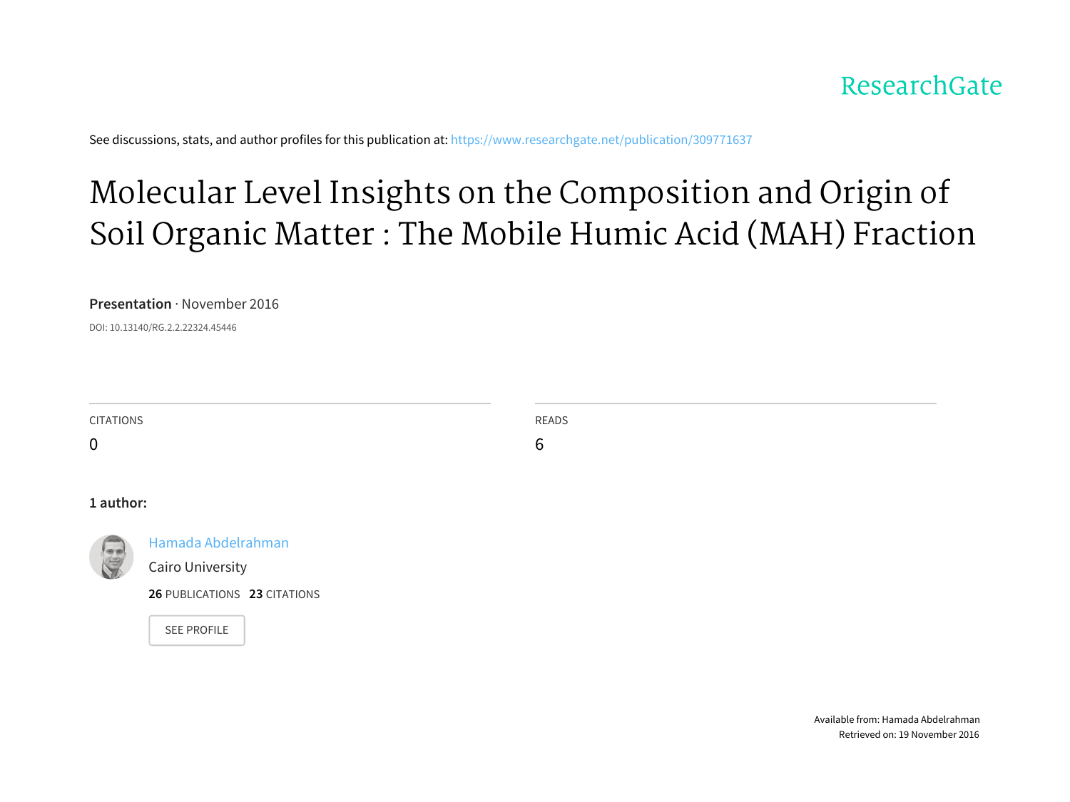#### ResearchGate

See discussions, stats, and author profiles for this publication at: [https://www.researchgate.net/publication/309771637](https://www.researchgate.net/publication/309771637_Molecular_Level_Insights_on_the_Composition_and_Origin_of_Soil_Organic_Matter_The_Mobile_Humic_Acid_MAH_Fraction?enrichId=rgreq-377fbdafc39830243f5dc5c7c867b56a-XXX&enrichSource=Y292ZXJQYWdlOzMwOTc3MTYzNztBUzo0MjY0NjE4NzUxODM2MTZAMTQ3ODY4Nzg0MjAxMA%3D%3D&el=1_x_2)

### Molecular Level Insights on the [Composition](https://www.researchgate.net/publication/309771637_Molecular_Level_Insights_on_the_Composition_and_Origin_of_Soil_Organic_Matter_The_Mobile_Humic_Acid_MAH_Fraction?enrichId=rgreq-377fbdafc39830243f5dc5c7c867b56a-XXX&enrichSource=Y292ZXJQYWdlOzMwOTc3MTYzNztBUzo0MjY0NjE4NzUxODM2MTZAMTQ3ODY4Nzg0MjAxMA%3D%3D&el=1_x_3) and Origin of Soil Organic Matter : The Mobile Humic Acid (MAH) Fraction

#### **Presentation** · November 2016

DOI: 10.13140/RG.2.2.22324.45446

| <b>CITATIONS</b> |                              | <b>READS</b> |
|------------------|------------------------------|--------------|
| $\mathbf 0$      |                              | 6            |
|                  |                              |              |
|                  |                              |              |
| 1 author:        |                              |              |
|                  | Hamada Abdelrahman           |              |
|                  | Cairo University             |              |
|                  | 26 PUBLICATIONS 23 CITATIONS |              |
|                  | <b>SEE PROFILE</b>           |              |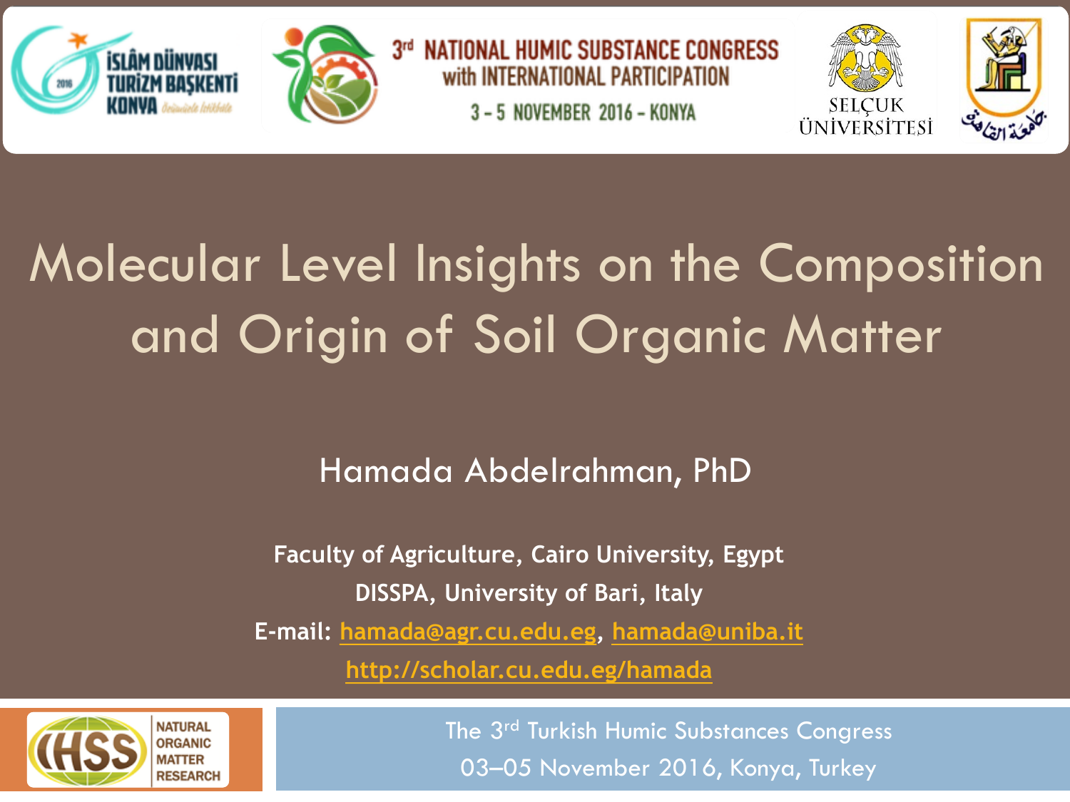



3rd NATIONAL HUMIC SUBSTANCE CONGRESS with INTERNATIONAL PARTICIPATION 3 - 5 NOVEMBER 2016 - KONYA





# Molecular Level Insights on the Composition and Origin of Soil Organic Matter

### Hamada Abdelrahman, PhD

**Faculty of Agriculture, Cairo University, Egypt DISSPA, University of Bari, Italy**

**E-mail: hamada@agr.cu.edu.eg, hamada@uniba.it**

**http://scholar.cu.edu.eg/hamada**



The 3rd Turkish Humic Substances Congress 03–05 November 2016, Konya, Turkey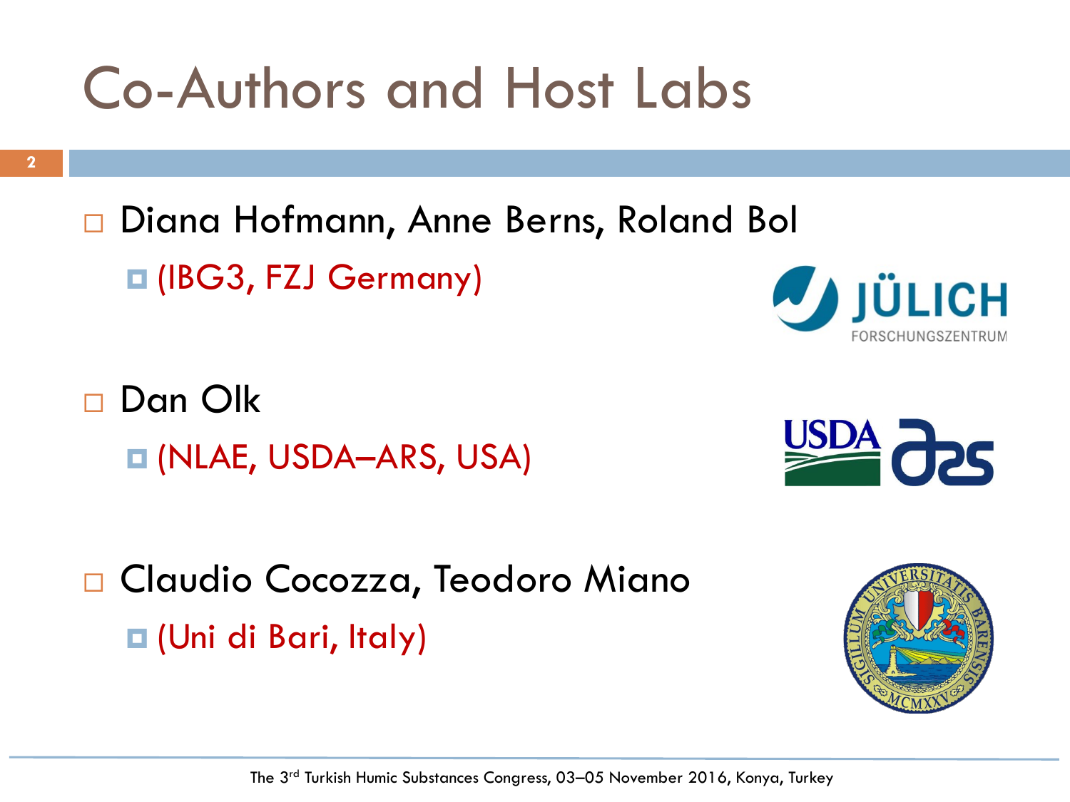## Co-Authors and Host Labs

**2**

□ Diana Hofmann, Anne Berns, Roland Bol ¤ (IBG3, FZJ Germany)

□ Dan Olk ¤ (NLAE, USDA–ARS, USA)

□ Claudio Cocozza, Teodoro Miano ¤ (Uni di Bari, Italy)





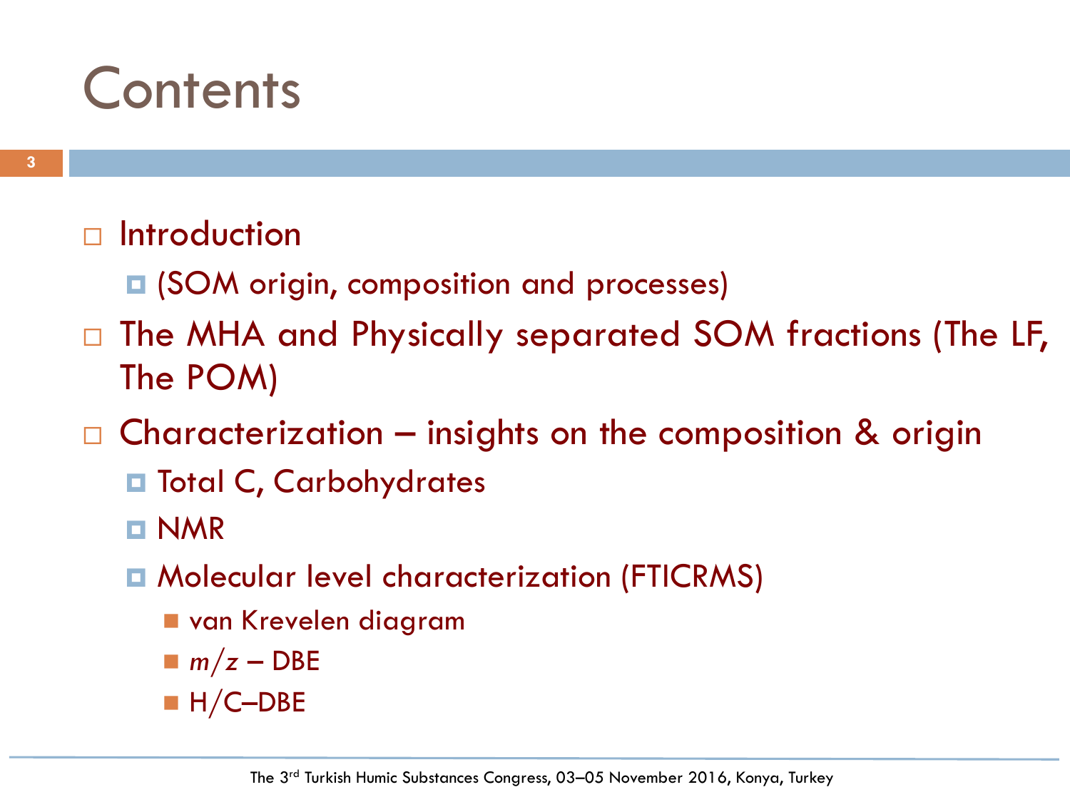### **Contents**

#### □ Introduction

- **□ (SOM origin, composition and processes)**
- □ The MHA and Physically separated SOM fractions (The LF, The POM)
- $\square$  Characterization insights on the composition & origin
	- ¤ Total C, Carbohydrates
	- ¤ NMR
	- ¤ Molecular level characterization (FTICRMS)
		- n van Krevelen diagram
		- $m/z DBE$
		- $H/C-DBE$